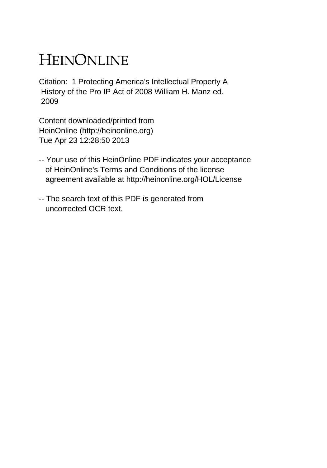## HEINONLINE

Citation: 1 Protecting America's Intellectual Property A History of the Pro IP Act of 2008 William H. Manz ed. 2009

Content downloaded/printed from HeinOnline (http://heinonline.org) Tue Apr 23 12:28:50 2013

- -- Your use of this HeinOnline PDF indicates your acceptance of HeinOnline's Terms and Conditions of the license agreement available at http://heinonline.org/HOL/License
- -- The search text of this PDF is generated from uncorrected OCR text.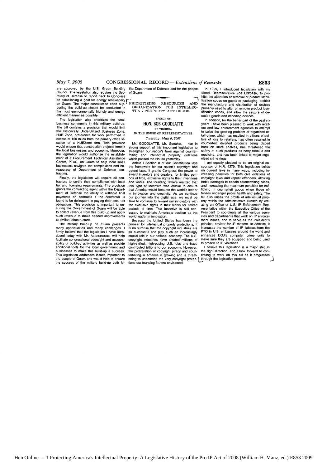The legislation also prioritizes the small simpline. The the station are pleased to work with retail-<br>the Sultion and the station of the better part of the past six the bill contains a provision that would limit<br>The bill

many opportunities and many challenges. I is no surprise that the copyright industries are increases the number of IP liaisons from the<br>firmly believe that the legislation I have intro-so successful and play such an increa firmly believe that the legislation I have intro- so successful and play such an increasingly duced today with Mr. ABERCROMBIE will help crucial role in our national economy. The U.S. duced today with Mr. ABERCROMBIE will help crucial role in our national economy. The U.S. enhances DOJ's computer crime units to<br>facilitate congressional oversight and account- copyright industries have created millions of facilitate congressional oversight and account- copyright industries have created millions of make sure they are equipped and being used<br>ability of build-up activities as well as provide high-skilled, high-paying U.S. jobs additional tools for the local government and contributed billions to our economy. However, I believe this legislation is a major step in businesses to make this collisions are the proliferation of copyright piracy and cou

are approved by the U.S. Green Building the Department of Defense and for the people in 1999, I introduced legislation with my<br>
Council. The legislation size registes the Sec- of Guam.<br>
central registers the Sec- of Guam.<br>

Finally, the legislation will require all con- ods of time, exclusive rights to their inventions copyright laws and repeat of fenders to certify their compliance with local and works. The founding fathers realized that tre The military build-up on Guam presents pioneer for intellectual property protections, it principal advisor for iP metals. In addition, it president's pioneer for intellectual property protections, it principal advisor for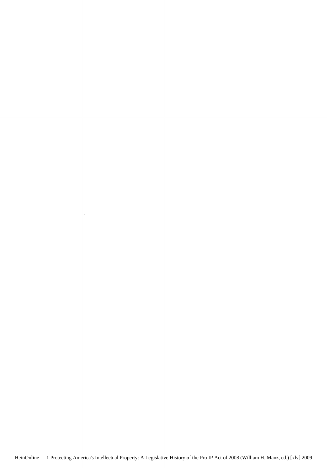HeinOnline -- 1 Protecting America's Intellectual Property: A Legislative History of the Pro IP Act of 2008 (William H. Manz, ed.) [xlv] 2009